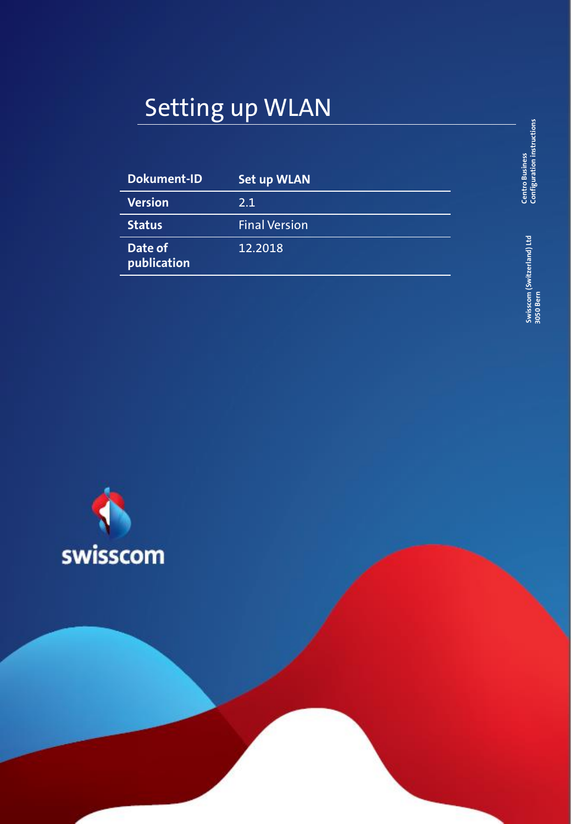# Setting up WLAN

| <b>Dokument-ID</b>     | <b>Set up WLAN</b>   |
|------------------------|----------------------|
| <b>Version</b>         | 2.1                  |
| <b>Status</b>          | <b>Final Version</b> |
| Date of<br>publication | 12.2018              |

**Centro Business**<br>Configuration instructions **Configuration instructions Centro Business** 

> Swisscom (Switzerland) Ltd<br>3050 Bern **Swisscom (Switzerland) Ltd 3050 Bern**

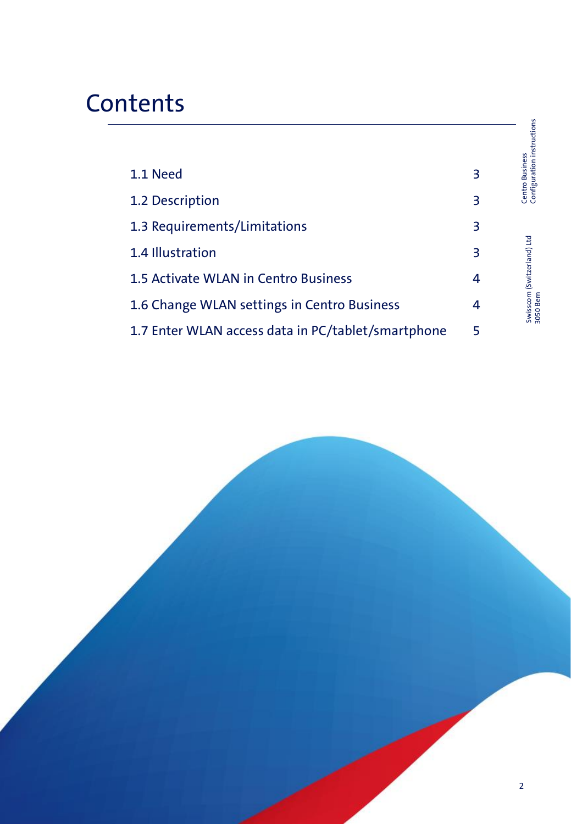## **Contents**

|                                                    |   | Centro Business<br>Configuration instructions |
|----------------------------------------------------|---|-----------------------------------------------|
| 1.1 Need                                           | 3 |                                               |
| 1.2 Description                                    | 3 |                                               |
| 1.3 Requirements/Limitations                       | 3 |                                               |
| 1.4 Illustration                                   | 3 |                                               |
| 1.5 Activate WLAN in Centro Business               | 4 | Swisscom (Switzerland) Ltd<br>3050 Bern       |
| 1.6 Change WLAN settings in Centro Business        | 4 |                                               |
| 1.7 Enter WLAN access data in PC/tablet/smartphone | 5 |                                               |

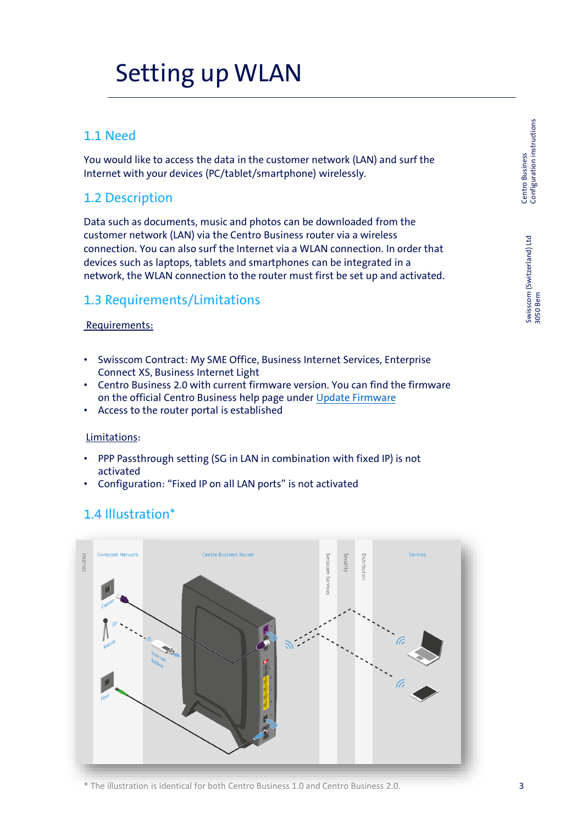## Setting up WLAN

### 1.1 Need

You would like to access the data in the customer network (LAN) and surf the Internet with your devices (PC/tablet/smartphone) wirelessly.

## 1.2 Description

Data such as documents, music and photos can be downloaded from the customer network (LAN) via the Centro Business router via a wireless connection. You can also surf the Internet via a WLAN connection. In order that devices such as laptops, tablets and smartphones can be integrated in a network, the WLAN connection to the router must first be set up and activated.

## 1.3 Requirements/Limitations

#### Requirements:

- Swisscom Contract: My SME Office, Business Internet Services, Enterprise Connect XS, Business Internet Light
- Centro Business 2.0 with current firmware version. You can find the firmware on the official Centro Business help page under [Update Firmware](http://www.swisscom.ch/centrobusiness2-fw)
- Access to the router portal is established

#### Limitations:

- PPP Passthrough setting (SG in LAN in combination with fixed IP) is not activated
- Configuration: "Fixed IP on all LAN ports" is not activated

## 1.4 Illustration\*



\* The illustration is identical for both Centro Business 1.0 and Centro Business 2.0.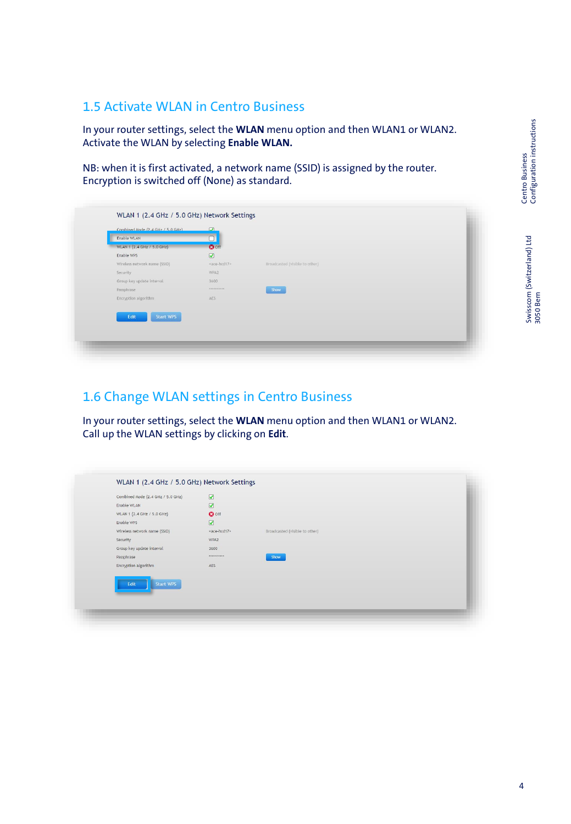Centro Business<br>Configuration instructions Configuration instructions 4 Centro Business

### 1.5 Activate WLAN in Centro Business

In your router settings, select the **WLAN** menu option and then WLAN1 or WLAN2. Activate the WLAN by selecting **Enable WLAN.**

NB: when it is first activated, a network name (SSID) is assigned by the router. Encryption is switched off (None) as standard.

| Combined Mode (2.4 GHz / 5.0 GHz)<br>Enable WLAN | $\Omega$<br>$\overline{\square}$ |                                |
|--------------------------------------------------|----------------------------------|--------------------------------|
| WLAN 1 (2.4 GHz / 5.0 GHz)                       | <b>O</b> off                     |                                |
| Enable WPS                                       | $\hbox{\large \it or \,}$        |                                |
| Wireless network name (SSID)                     | «ace-hod17»                      | Broadcasted (visible to other) |
| Security                                         | WPA2                             |                                |
| Group key update interval                        | 3600                             |                                |
| Passphrase                                       | ***********                      | Show                           |
| Encryption algorithm                             | AES.                             |                                |
|                                                  |                                  |                                |
| <b>Start WPS</b><br>Edit                         |                                  |                                |
|                                                  |                                  |                                |

## 1.6 Change WLAN settings in Centro Business

In your router settings, select the **WLAN** menu option and then WLAN1 or WLAN2. Call up the WLAN settings by clicking on **Edit**.

| Combined Mode (2.4 GHz / 5.0 GHz) | $\overline{a}$             |                                |  |
|-----------------------------------|----------------------------|--------------------------------|--|
| Enable WLAN                       | $\boldsymbol{\mathcal{G}}$ |                                |  |
| WLAN 1 (2.4 GHz / 5.0 GHz)        | <b>O</b> off               |                                |  |
| Enable WPS                        | $\circledcirc$             |                                |  |
| Wireless network name (SSID)      | «ace-hcd17»                | Broadcasted (visible to other) |  |
| Security                          | WPA2                       |                                |  |
| Group key update interval         | 3600                       |                                |  |
| Passphrase                        | <b>ARRESTARRE</b>          | <b>Show</b>                    |  |
| Encryption algorithm              | AES                        |                                |  |
| <b>Start WPS</b>                  |                            |                                |  |
| Edit                              |                            |                                |  |
|                                   |                            |                                |  |